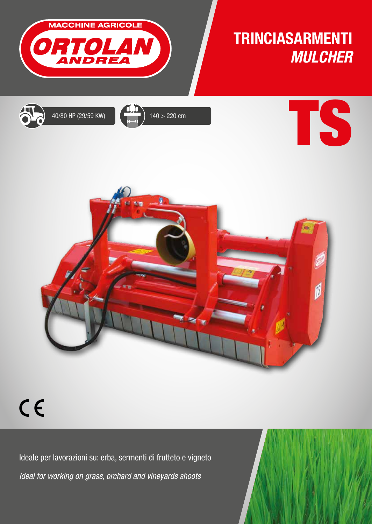

## TRINCIASARMENTI *MULCHER*

TS







## $C<sub>f</sub>$

Ideale per lavorazioni su: erba, sermenti di frutteto e vigneto *Ideal for working on grass, orchard and vineyards shoots*